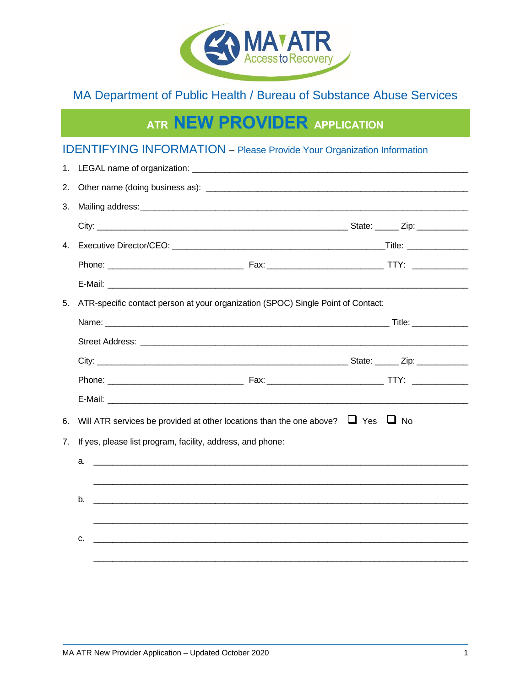

# MA Department of Public Health / Bureau of Substance Abuse Services

# ATR NEW PROVIDER APPLICATION

# **IDENTIFYING INFORMATION** - Please Provide Your Organization Information

| 1. |                                                                                           |  |  |  |  |
|----|-------------------------------------------------------------------------------------------|--|--|--|--|
| 2. |                                                                                           |  |  |  |  |
| 3. |                                                                                           |  |  |  |  |
|    |                                                                                           |  |  |  |  |
|    |                                                                                           |  |  |  |  |
|    |                                                                                           |  |  |  |  |
|    |                                                                                           |  |  |  |  |
| 5. | ATR-specific contact person at your organization (SPOC) Single Point of Contact:          |  |  |  |  |
|    |                                                                                           |  |  |  |  |
|    |                                                                                           |  |  |  |  |
|    |                                                                                           |  |  |  |  |
|    |                                                                                           |  |  |  |  |
|    |                                                                                           |  |  |  |  |
| 6. | Will ATR services be provided at other locations than the one above? $\Box$ Yes $\Box$ No |  |  |  |  |
| 7. | If yes, please list program, facility, address, and phone:                                |  |  |  |  |
|    | а.                                                                                        |  |  |  |  |
|    |                                                                                           |  |  |  |  |
|    | b.<br><u> 1990 - John Stone, amerikansk politiker (d. 1980)</u>                           |  |  |  |  |
|    |                                                                                           |  |  |  |  |
|    | c.                                                                                        |  |  |  |  |
|    |                                                                                           |  |  |  |  |
|    |                                                                                           |  |  |  |  |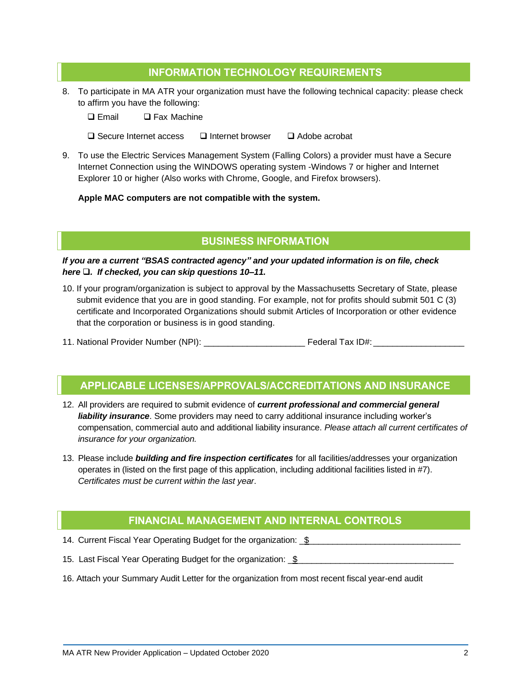# **INFORMATION TECHNOLOGY REQUIREMENTS**

- 8. To participate in MA ATR your organization must have the following technical capacity: please check to affirm you have the following:
	- ❑ Email ❑ Fax Machine
	- ❑ Secure Internet access ❑ Internet browser ❑ Adobe acrobat
- 9. To use the Electric Services Management System (Falling Colors) a provider must have a Secure Internet Connection using the WINDOWS operating system -Windows 7 or higher and Internet Explorer 10 or higher (Also works with Chrome, Google, and Firefox browsers).

#### **Apple MAC computers are not compatible with the system.**

#### **BUSINESS INFORMATION**

*If you are a current "BSAS contracted agency" and your updated information is on file, check here* ❑*. If checked, you can skip questions 10–11.*

- 10. If your program/organization is subject to approval by the Massachusetts Secretary of State, please submit evidence that you are in good standing. For example, not for profits should submit 501 C (3) certificate and Incorporated Organizations should submit Articles of Incorporation or other evidence that the corporation or business is in good standing.
- 11. National Provider Number (NPI): \_\_\_\_\_\_\_\_\_\_\_\_\_\_\_\_\_\_\_\_\_ Federal Tax ID#: \_\_\_\_\_\_\_\_\_\_\_\_\_\_\_\_\_\_\_

#### **APPLICABLE LICENSES/APPROVALS/ACCREDITATIONS AND INSURANCE**

- 12. All providers are required to submit evidence of *current professional and commercial general liability insurance*. Some providers may need to carry additional insurance including worker's compensation, commercial auto and additional liability insurance. *Please attach all current certificates of insurance for your organization.*
- 13. Please include *building and fire inspection certificates* for all facilities/addresses your organization operates in (listed on the first page of this application, including additional facilities listed in #7). *Certificates must be current within the last year*.

# **FINANCIAL MANAGEMENT AND INTERNAL CONTROLS**

- 14. Current Fiscal Year Operating Budget for the organization: \$\_\_\_\_\_\_\_\_\_\_\_\_\_\_\_\_\_
- 15. Last Fiscal Year Operating Budget for the organization: \$
- 16. Attach your Summary Audit Letter for the organization from most recent fiscal year-end audit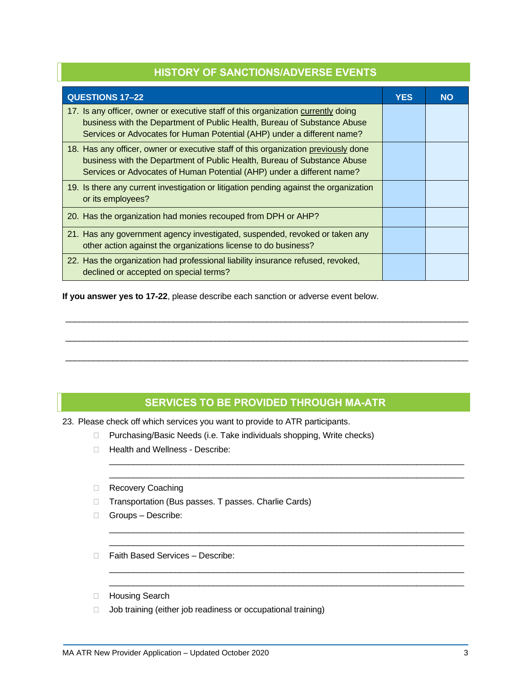| <b>HISTORY OF SANCTIONS/ADVERSE EVENTS</b>                                                                                                                                                                                               |            |           |  |  |
|------------------------------------------------------------------------------------------------------------------------------------------------------------------------------------------------------------------------------------------|------------|-----------|--|--|
| <b>QUESTIONS 17-22</b>                                                                                                                                                                                                                   | <b>YES</b> | <b>NO</b> |  |  |
| 17. Is any officer, owner or executive staff of this organization currently doing<br>business with the Department of Public Health, Bureau of Substance Abuse<br>Services or Advocates for Human Potential (AHP) under a different name? |            |           |  |  |
| 18. Has any officer, owner or executive staff of this organization previously done<br>business with the Department of Public Health, Bureau of Substance Abuse<br>Services or Advocates of Human Potential (AHP) under a different name? |            |           |  |  |
| 19. Is there any current investigation or litigation pending against the organization<br>or its employees?                                                                                                                               |            |           |  |  |
| 20. Has the organization had monies recouped from DPH or AHP?                                                                                                                                                                            |            |           |  |  |
| 21. Has any government agency investigated, suspended, revoked or taken any<br>other action against the organizations license to do business?                                                                                            |            |           |  |  |
| 22. Has the organization had professional liability insurance refused, revoked,<br>declined or accepted on special terms?                                                                                                                |            |           |  |  |

**If you answer yes to 17-22**, please describe each sanction or adverse event below.

# **SERVICES TO BE PROVIDED THROUGH MA-ATR**

\_\_\_\_\_\_\_\_\_\_\_\_\_\_\_\_\_\_\_\_\_\_\_\_\_\_\_\_\_\_\_\_\_\_\_\_\_\_\_\_\_\_\_\_\_\_\_\_\_\_\_\_\_\_\_\_\_\_\_\_\_\_\_\_\_\_\_\_\_\_\_\_\_\_\_ \_\_\_\_\_\_\_\_\_\_\_\_\_\_\_\_\_\_\_\_\_\_\_\_\_\_\_\_\_\_\_\_\_\_\_\_\_\_\_\_\_\_\_\_\_\_\_\_\_\_\_\_\_\_\_\_\_\_\_\_\_\_\_\_\_\_\_\_\_\_\_\_\_\_\_

\_\_\_\_\_\_\_\_\_\_\_\_\_\_\_\_\_\_\_\_\_\_\_\_\_\_\_\_\_\_\_\_\_\_\_\_\_\_\_\_\_\_\_\_\_\_\_\_\_\_\_\_\_\_\_\_\_\_\_\_\_\_\_\_\_\_\_\_\_\_\_\_\_\_\_ \_\_\_\_\_\_\_\_\_\_\_\_\_\_\_\_\_\_\_\_\_\_\_\_\_\_\_\_\_\_\_\_\_\_\_\_\_\_\_\_\_\_\_\_\_\_\_\_\_\_\_\_\_\_\_\_\_\_\_\_\_\_\_\_\_\_\_\_\_\_\_\_\_\_\_

\_\_\_\_\_\_\_\_\_\_\_\_\_\_\_\_\_\_\_\_\_\_\_\_\_\_\_\_\_\_\_\_\_\_\_\_\_\_\_\_\_\_\_\_\_\_\_\_\_\_\_\_\_\_\_\_\_\_\_\_\_\_\_\_\_\_\_\_\_\_\_\_\_\_\_ \_\_\_\_\_\_\_\_\_\_\_\_\_\_\_\_\_\_\_\_\_\_\_\_\_\_\_\_\_\_\_\_\_\_\_\_\_\_\_\_\_\_\_\_\_\_\_\_\_\_\_\_\_\_\_\_\_\_\_\_\_\_\_\_\_\_\_\_\_\_\_\_\_\_\_

\_\_\_\_\_\_\_\_\_\_\_\_\_\_\_\_\_\_\_\_\_\_\_\_\_\_\_\_\_\_\_\_\_\_\_\_\_\_\_\_\_\_\_\_\_\_\_\_\_\_\_\_\_\_\_\_\_\_\_\_\_\_\_\_\_\_\_\_\_\_\_\_\_\_\_\_\_\_\_\_\_\_\_\_\_\_

\_\_\_\_\_\_\_\_\_\_\_\_\_\_\_\_\_\_\_\_\_\_\_\_\_\_\_\_\_\_\_\_\_\_\_\_\_\_\_\_\_\_\_\_\_\_\_\_\_\_\_\_\_\_\_\_\_\_\_\_\_\_\_\_\_\_\_\_\_\_\_\_\_\_\_\_\_\_\_\_\_\_\_\_\_\_

\_\_\_\_\_\_\_\_\_\_\_\_\_\_\_\_\_\_\_\_\_\_\_\_\_\_\_\_\_\_\_\_\_\_\_\_\_\_\_\_\_\_\_\_\_\_\_\_\_\_\_\_\_\_\_\_\_\_\_\_\_\_\_\_\_\_\_\_\_\_\_\_\_\_\_\_\_\_\_\_\_\_\_\_\_\_

23. Please check off which services you want to provide to ATR participants.

- D Purchasing/Basic Needs (i.e. Take individuals shopping, Write checks)
- □ Health and Wellness Describe:
- Recovery Coaching
- □ Transportation (Bus passes. T passes. Charlie Cards)
- Groups Describe:
- □ Faith Based Services Describe:
- Housing Search
- $\Box$  Job training (either job readiness or occupational training)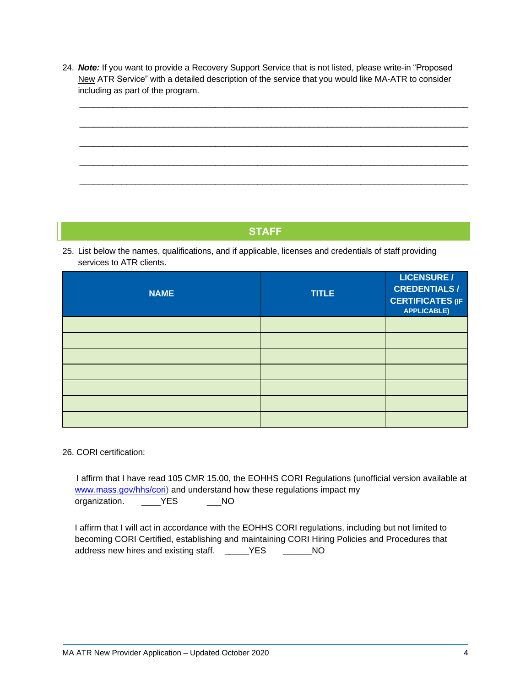24. *Note:* If you want to provide a Recovery Support Service that is not listed, please write-in "Proposed New ATR Service" with a detailed description of the service that you would like MA-ATR to consider including as part of the program.



# **STAFF**

25. List below the names, qualifications, and if applicable, licenses and credentials of staff providing services to ATR clients.

| <b>NAME</b> | <b>TITLE</b> | <b>LICENSURE /</b><br><b>CREDENTIALS/</b><br><b>CERTIFICATES (IF</b><br><b>APPLICABLE)</b> |
|-------------|--------------|--------------------------------------------------------------------------------------------|
|             |              |                                                                                            |
|             |              |                                                                                            |
|             |              |                                                                                            |
|             |              |                                                                                            |
|             |              |                                                                                            |
|             |              |                                                                                            |
|             |              |                                                                                            |

#### 26. CORI certification:

I affirm that I have read 105 CMR 15.00, the EOHHS CORI Regulations (unofficial version available at [www.mass.gov/hhs/cori\)](http://www.mass.gov/hhs/cori) and understand how these regulations impact my organization. \_\_\_\_YES \_\_\_NO

I affirm that I will act in accordance with the EOHHS CORI regulations, including but not limited to becoming CORI Certified, establishing and maintaining CORI Hiring Policies and Procedures that address new hires and existing staff. \_\_\_\_\_YES \_\_\_\_\_\_NO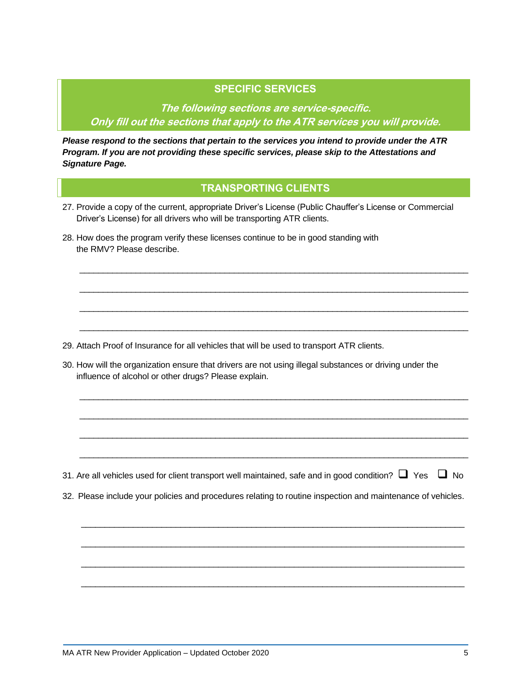# **SPECIFIC SERVICES**

**The following sections are service-specific. Only fill out the sections that apply to the ATR services you will provide.**

*Please respond to the sections that pertain to the services you intend to provide under the ATR Program. If you are not providing these specific services, please skip to the Attestations and Signature Page.*

# **TRANSPORTING CLIENTS**

\_\_\_\_\_\_\_\_\_\_\_\_\_\_\_\_\_\_\_\_\_\_\_\_\_\_\_\_\_\_\_\_\_\_\_\_\_\_\_\_\_\_\_\_\_\_\_\_\_\_\_\_\_\_\_\_\_\_\_\_\_\_\_\_\_\_\_\_\_\_\_\_\_\_\_\_\_\_\_\_\_\_\_

\_\_\_\_\_\_\_\_\_\_\_\_\_\_\_\_\_\_\_\_\_\_\_\_\_\_\_\_\_\_\_\_\_\_\_\_\_\_\_\_\_\_\_\_\_\_\_\_\_\_\_\_\_\_\_\_\_\_\_\_\_\_\_\_\_\_\_\_\_\_\_\_\_\_\_\_\_\_\_\_\_\_\_

\_\_\_\_\_\_\_\_\_\_\_\_\_\_\_\_\_\_\_\_\_\_\_\_\_\_\_\_\_\_\_\_\_\_\_\_\_\_\_\_\_\_\_\_\_\_\_\_\_\_\_\_\_\_\_\_\_\_\_\_\_\_\_\_\_\_\_\_\_\_\_\_\_\_\_\_\_\_\_\_\_\_\_

\_\_\_\_\_\_\_\_\_\_\_\_\_\_\_\_\_\_\_\_\_\_\_\_\_\_\_\_\_\_\_\_\_\_\_\_\_\_\_\_\_\_\_\_\_\_\_\_\_\_\_\_\_\_\_\_\_\_\_\_\_\_\_\_\_\_\_\_\_\_\_\_\_\_\_\_\_\_\_\_\_\_\_

\_\_\_\_\_\_\_\_\_\_\_\_\_\_\_\_\_\_\_\_\_\_\_\_\_\_\_\_\_\_\_\_\_\_\_\_\_\_\_\_\_\_\_\_\_\_\_\_\_\_\_\_\_\_\_\_\_\_\_\_\_\_\_\_\_\_\_\_\_\_\_\_\_\_\_\_\_\_\_\_\_\_\_

\_\_\_\_\_\_\_\_\_\_\_\_\_\_\_\_\_\_\_\_\_\_\_\_\_\_\_\_\_\_\_\_\_\_\_\_\_\_\_\_\_\_\_\_\_\_\_\_\_\_\_\_\_\_\_\_\_\_\_\_\_\_\_\_\_\_\_\_\_\_\_\_\_\_\_\_\_\_\_\_\_\_\_

\_\_\_\_\_\_\_\_\_\_\_\_\_\_\_\_\_\_\_\_\_\_\_\_\_\_\_\_\_\_\_\_\_\_\_\_\_\_\_\_\_\_\_\_\_\_\_\_\_\_\_\_\_\_\_\_\_\_\_\_\_\_\_\_\_\_\_\_\_\_\_\_\_\_\_\_\_\_\_\_\_\_\_

\_\_\_\_\_\_\_\_\_\_\_\_\_\_\_\_\_\_\_\_\_\_\_\_\_\_\_\_\_\_\_\_\_\_\_\_\_\_\_\_\_\_\_\_\_\_\_\_\_\_\_\_\_\_\_\_\_\_\_\_\_\_\_\_\_\_\_\_\_\_\_\_\_\_\_\_\_\_\_\_\_\_\_

 $\_$  , and the set of the set of the set of the set of the set of the set of the set of the set of the set of the set of the set of the set of the set of the set of the set of the set of the set of the set of the set of th

\_\_\_\_\_\_\_\_\_\_\_\_\_\_\_\_\_\_\_\_\_\_\_\_\_\_\_\_\_\_\_\_\_\_\_\_\_\_\_\_\_\_\_\_\_\_\_\_\_\_\_\_\_\_\_\_\_\_\_\_\_\_\_\_\_\_\_\_\_\_\_\_\_\_\_\_\_\_\_\_\_

 $\_$  , and the set of the set of the set of the set of the set of the set of the set of the set of the set of the set of the set of the set of the set of the set of the set of the set of the set of the set of the set of th

 $\_$  , and the set of the set of the set of the set of the set of the set of the set of the set of the set of the set of the set of the set of the set of the set of the set of the set of the set of the set of the set of th

- 27. Provide a copy of the current, appropriate Driver's License (Public Chauffer's License or Commercial Driver's License) for all drivers who will be transporting ATR clients.
- 28. How does the program verify these licenses continue to be in good standing with the RMV? Please describe.

29. Attach Proof of Insurance for all vehicles that will be used to transport ATR clients.

30. How will the organization ensure that drivers are not using illegal substances or driving under the influence of alcohol or other drugs? Please explain.

31. Are all vehicles used for client transport well maintained, safe and in good condition?  $\Box$  Yes  $\Box$  No

32. Please include your policies and procedures relating to routine inspection and maintenance of vehicles.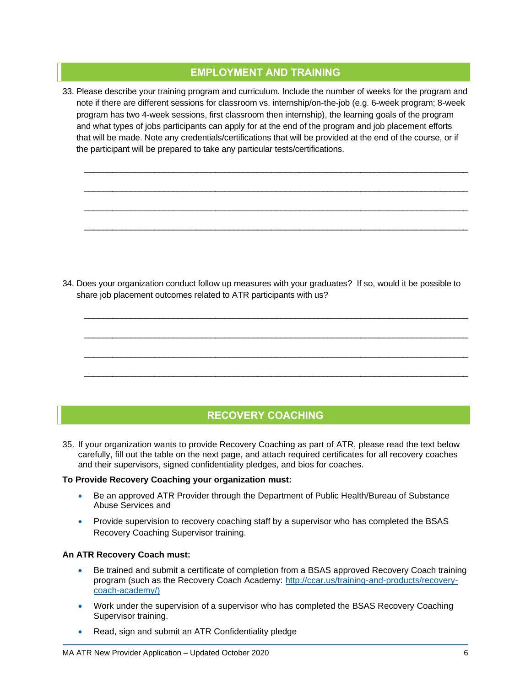### **EMPLOYMENT AND TRAINING**

33. Please describe your training program and curriculum. Include the number of weeks for the program and note if there are different sessions for classroom vs. internship/on-the-job (e.g. 6-week program; 8-week program has two 4-week sessions, first classroom then internship), the learning goals of the program and what types of jobs participants can apply for at the end of the program and job placement efforts that will be made. Note any credentials/certifications that will be provided at the end of the course, or if the participant will be prepared to take any particular tests/certifications.

\_\_\_\_\_\_\_\_\_\_\_\_\_\_\_\_\_\_\_\_\_\_\_\_\_\_\_\_\_\_\_\_\_\_\_\_\_\_\_\_\_\_\_\_\_\_\_\_\_\_\_\_\_\_\_\_\_\_\_\_\_\_\_\_\_\_\_\_\_\_\_\_\_\_\_\_\_\_\_\_\_\_

\_\_\_\_\_\_\_\_\_\_\_\_\_\_\_\_\_\_\_\_\_\_\_\_\_\_\_\_\_\_\_\_\_\_\_\_\_\_\_\_\_\_\_\_\_\_\_\_\_\_\_\_\_\_\_\_\_\_\_\_\_\_\_\_\_\_\_\_\_\_\_\_\_\_\_\_\_\_\_\_\_\_

\_\_\_\_\_\_\_\_\_\_\_\_\_\_\_\_\_\_\_\_\_\_\_\_\_\_\_\_\_\_\_\_\_\_\_\_\_\_\_\_\_\_\_\_\_\_\_\_\_\_\_\_\_\_\_\_\_\_\_\_\_\_\_\_\_\_\_\_\_\_\_\_\_\_\_\_\_\_\_\_\_\_

\_\_\_\_\_\_\_\_\_\_\_\_\_\_\_\_\_\_\_\_\_\_\_\_\_\_\_\_\_\_\_\_\_\_\_\_\_\_\_\_\_\_\_\_\_\_\_\_\_\_\_\_\_\_\_\_\_\_\_\_\_\_\_\_\_\_\_\_\_\_\_\_\_\_\_\_\_\_\_\_\_\_

\_\_\_\_\_\_\_\_\_\_\_\_\_\_\_\_\_\_\_\_\_\_\_\_\_\_\_\_\_\_\_\_\_\_\_\_\_\_\_\_\_\_\_\_\_\_\_\_\_\_\_\_\_\_\_\_\_\_\_\_\_\_\_\_\_\_\_\_\_\_\_\_\_\_\_\_\_\_\_\_\_\_

\_\_\_\_\_\_\_\_\_\_\_\_\_\_\_\_\_\_\_\_\_\_\_\_\_\_\_\_\_\_\_\_\_\_\_\_\_\_\_\_\_\_\_\_\_\_\_\_\_\_\_\_\_\_\_\_\_\_\_\_\_\_\_\_\_\_\_\_\_\_\_\_\_\_\_\_\_\_\_\_\_\_

\_\_\_\_\_\_\_\_\_\_\_\_\_\_\_\_\_\_\_\_\_\_\_\_\_\_\_\_\_\_\_\_\_\_\_\_\_\_\_\_\_\_\_\_\_\_\_\_\_\_\_\_\_\_\_\_\_\_\_\_\_\_\_\_\_\_\_\_\_\_\_\_\_\_\_\_\_\_\_\_\_\_

\_\_\_\_\_\_\_\_\_\_\_\_\_\_\_\_\_\_\_\_\_\_\_\_\_\_\_\_\_\_\_\_\_\_\_\_\_\_\_\_\_\_\_\_\_\_\_\_\_\_\_\_\_\_\_\_\_\_\_\_\_\_\_\_\_\_\_\_\_\_\_\_\_\_\_\_\_\_\_\_\_\_

34. Does your organization conduct follow up measures with your graduates? If so, would it be possible to share job placement outcomes related to ATR participants with us?



35. If your organization wants to provide Recovery Coaching as part of ATR, please read the text below carefully, fill out the table on the next page, and attach required certificates for all recovery coaches and their supervisors, signed confidentiality pledges, and bios for coaches.

#### **To Provide Recovery Coaching your organization must:**

- Be an approved ATR Provider through the Department of Public Health/Bureau of Substance Abuse Services and
- Provide supervision to recovery coaching staff by a supervisor who has completed the BSAS Recovery Coaching Supervisor training.

#### **An ATR Recovery Coach must:**

- Be trained and submit a certificate of completion from a BSAS approved Recovery Coach training program (such as the Recovery Coach Academy: http://ccar.us/training-and-products/recoverycoach-academy/)
- Work under the supervision of a supervisor who has completed the BSAS Recovery Coaching Supervisor training.
- Read, sign and submit an ATR Confidentiality pledge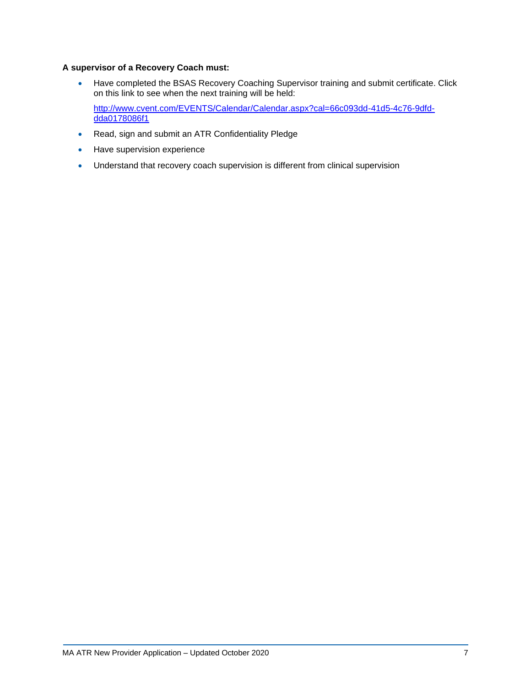#### **A supervisor of a Recovery Coach must:**

• Have completed the BSAS Recovery Coaching Supervisor training and submit certificate. Click on this link to see when the next training will be held:

[http://www.cvent.com/EVENTS/Calendar/Calendar.aspx?cal=66c093dd-41d5-4c76-9dfd](http://www.cvent.com/EVENTS/Calendar/Calendar.aspx?cal=66c093dd-41d5-4c76-9dfd-dda0178086f1)[dda0178086f1](http://www.cvent.com/EVENTS/Calendar/Calendar.aspx?cal=66c093dd-41d5-4c76-9dfd-dda0178086f1)

- Read, sign and submit an ATR Confidentiality Pledge
- Have supervision experience
- Understand that recovery coach supervision is different from clinical supervision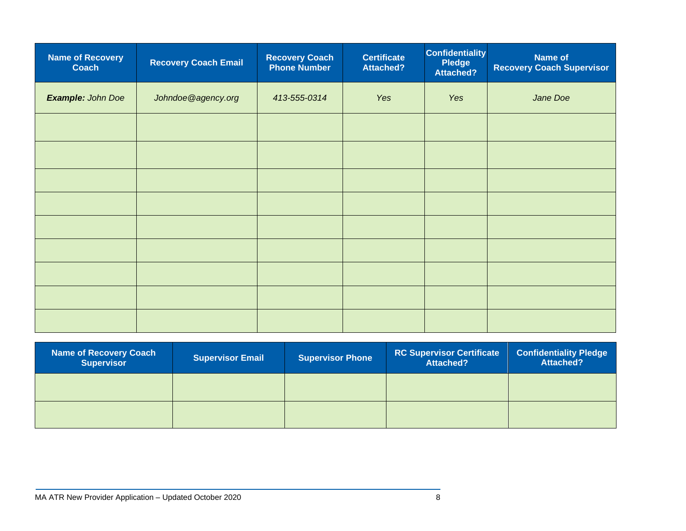| <b>Name of Recovery</b><br><b>Coach</b> | <b>Recovery Coach Email</b> | <b>Recovery Coach</b><br><b>Phone Number</b> | <b>Certificate</b><br><b>Attached?</b> | <b>Confidentiality</b><br>Pledge<br>Attached? | <b>Name of</b><br><b>Recovery Coach Supervisor</b> |
|-----------------------------------------|-----------------------------|----------------------------------------------|----------------------------------------|-----------------------------------------------|----------------------------------------------------|
| Example: John Doe                       | Johndoe@agency.org          | 413-555-0314                                 | Yes                                    | Yes                                           | Jane Doe                                           |
|                                         |                             |                                              |                                        |                                               |                                                    |
|                                         |                             |                                              |                                        |                                               |                                                    |
|                                         |                             |                                              |                                        |                                               |                                                    |
|                                         |                             |                                              |                                        |                                               |                                                    |
|                                         |                             |                                              |                                        |                                               |                                                    |
|                                         |                             |                                              |                                        |                                               |                                                    |
|                                         |                             |                                              |                                        |                                               |                                                    |
|                                         |                             |                                              |                                        |                                               |                                                    |
|                                         |                             |                                              |                                        |                                               |                                                    |

| <b>Name of Recovery Coach</b><br><b>Supervisor</b> | <b>Supervisor Email</b> | <b>Supervisor Phone</b> | <b>RC Supervisor Certificate</b><br><b>Attached?</b> | <b>Confidentiality Pledge</b><br><b>Attached?</b> |
|----------------------------------------------------|-------------------------|-------------------------|------------------------------------------------------|---------------------------------------------------|
|                                                    |                         |                         |                                                      |                                                   |
|                                                    |                         |                         |                                                      |                                                   |